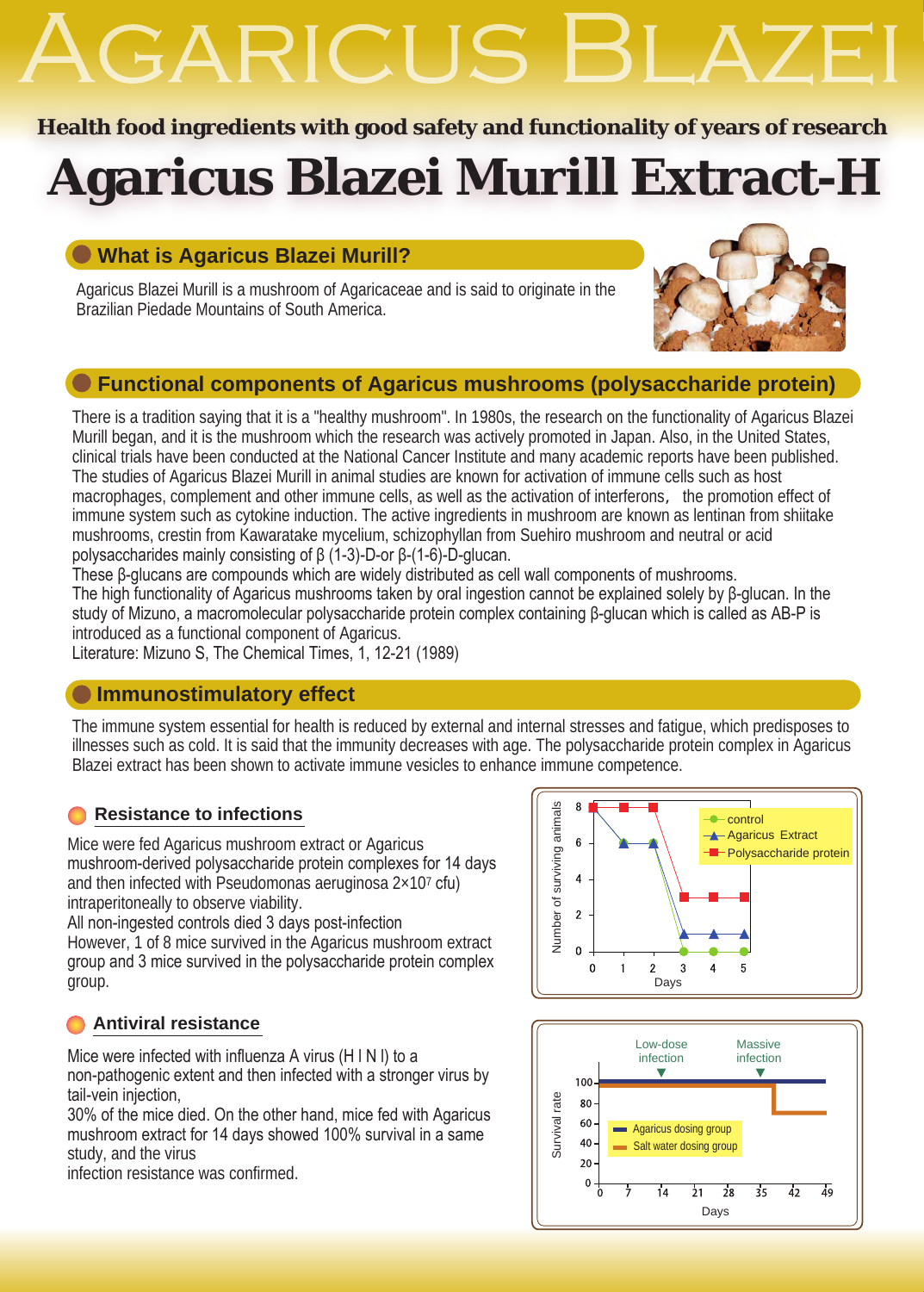# GARICUS F

### **Health food ingredients with good safety and functionality of years of research**

## **Agaricus Blazei Murill Extract-H**

### **What is Agaricus Blazei Murill?**

Agaricus Blazei Murill is a mushroom of Agaricaceae and is said to originate in the Brazilian Piedade Mountains of South America.



### **Functional components of Agaricus mushrooms (polysaccharide protein)**

There is a tradition saying that it is a "healthy mushroom". In 1980s, the research on the functionality of Agaricus Blazei Murill began, and it is the mushroom which the research was actively promoted in Japan. Also, in the United States, clinical trials have been conducted at the National Cancer Institute and many academic reports have been published. The studies of Agaricus Blazei Murill in animal studies are known for activation of immune cells such as host macrophages, complement and other immune cells, as well as the activation of interferons, the promotion effect of immune system such as cytokine induction. The active ingredients in mushroom are known as lentinan from shiitake mushrooms, crestin from Kawaratake mycelium, schizophyllan from Suehiro mushroom and neutral or acid polysaccharides mainly consisting of β (1-3)-D-or β-(1-6)-D-glucan.

These β-glucans are compounds which are widely distributed as cell wall components of mushrooms. The high functionality of Agaricus mushrooms taken by oral ingestion cannot be explained solely by β-glucan. In the study of Mizuno, a macromolecular polysaccharide protein complex containing β-glucan which is called as AB-P is introduced as a functional component of Agaricus.

Literature: Mizuno S, The Chemical Times, 1, 12-21 (1989)

### **Immunostimulatory effect**

The immune system essential for health is reduced by external and internal stresses and fatigue, which predisposes to illnesses such as cold. It is said that the immunity decreases with age. The polysaccharide protein complex in Agaricus Blazei extract has been shown to activate immune vesicles to enhance immune competence.

### **Resistance to infections**

Mice were fed Agaricus mushroom extract or Agaricus mushroom-derived polysaccharide protein complexes for 14 days and then infected with Pseudomonas aeruginosa  $2\times10^7$  cfu) intraperitoneally to observe viability.

All non-ingested controls died 3 days post-infection However, 1 of 8 mice survived in the Agaricus mushroom extract group and 3 mice survived in the polysaccharide protein complex group.

### **Antiviral resistance**

Mice were infected with influenza A virus (H l N l) to a non-pathogenic extent and then infected with a stronger virus by tail-vein injection,

30% of the mice died. On the other hand, mice fed with Agaricus mushroom extract for 14 days showed 100% survival in a same study, and the virus

infection resistance was confirmed.